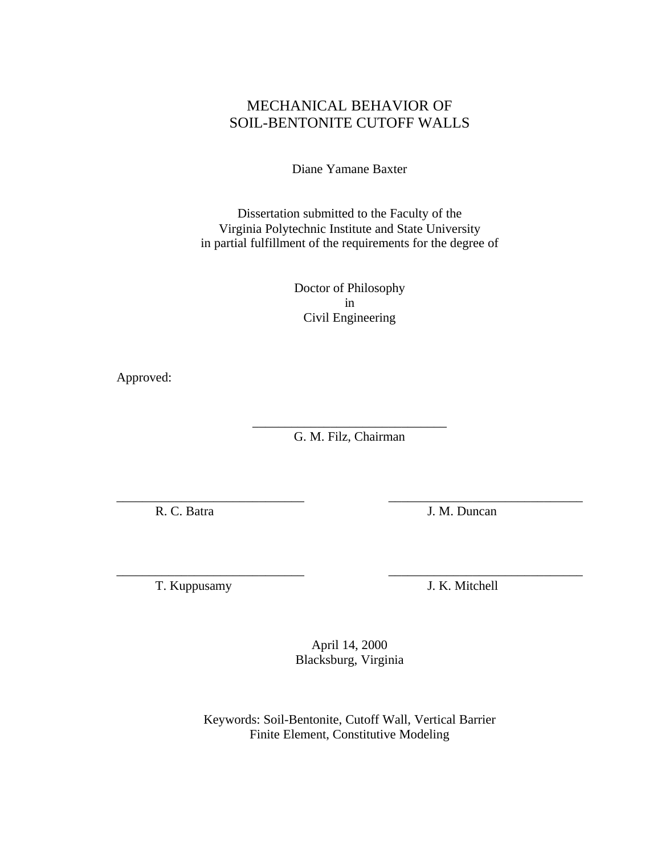# <span id="page-0-6"></span><span id="page-0-5"></span><span id="page-0-4"></span><span id="page-0-3"></span><span id="page-0-2"></span><span id="page-0-1"></span><span id="page-0-0"></span>MECHANICAL BEHAVIOR OF SOIL-BENTONITE CUTOFF WALLS

Diane Yamane Baxter

Dissertation submitted to the Faculty of the Virginia Polytechnic Institute and State University in partial fulfillment of the requirements for the degree of

> Doctor of Philosophy in Civil Engineering

Approved:

\_\_\_\_\_\_\_\_\_\_\_\_\_\_\_\_\_\_\_\_\_\_\_\_\_\_\_\_\_\_ G. M. Filz, Chairman

\_\_\_\_\_\_\_\_\_\_\_\_\_\_\_\_\_\_\_\_\_\_\_\_\_\_\_\_\_ \_\_\_\_\_\_\_\_\_\_\_\_\_\_\_\_\_\_\_\_\_\_\_\_\_\_\_\_\_\_

\_\_\_\_\_\_\_\_\_\_\_\_\_\_\_\_\_\_\_\_\_\_\_\_\_\_\_\_\_ \_\_\_\_\_\_\_\_\_\_\_\_\_\_\_\_\_\_\_\_\_\_\_\_\_\_\_\_\_\_

R. C. Batra J. M. Duncan

T. Kuppusamy J. K. Mitchell

April 14, 2000 Blacksburg, Virginia

Keywords: Soil-Bentonite, Cutoff Wall, Vertical Barrier Finite Element, Constitutive Modeling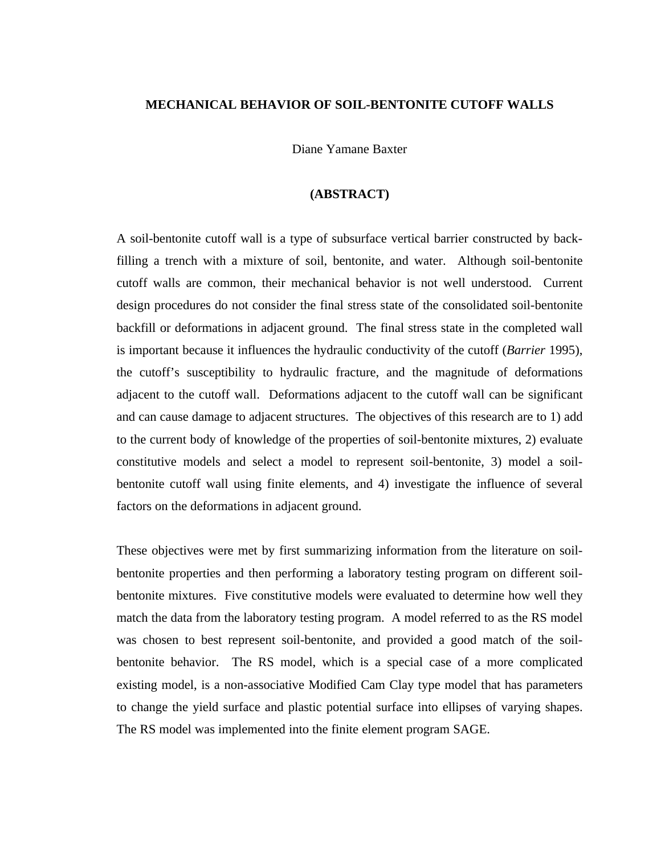### **MECHANICAL BEHAVIOR OF SOIL-BENTONITE CUTOFF WALLS**

Diane Yamane Baxter

### **(ABSTRACT)**

A soil-bentonite cutoff wall is a type of subsurface vertical barrier constructed by backfilling a trench with a mixture of soil, bentonite, and water. Although soil-bentonite cutoff walls are common, their mechanical behavior is not well understood. Current design procedures do not consider the final stress state of the consolidated soil-bentonite backfill or deformations in adjacent ground. The final stress state in the completed wall is important because it influences the hydraulic conductivity of the cutoff (*Barrier* 1995), the cutoff's susceptibility to hydraulic fracture, and the magnitude of deformations adjacent to the cutoff wall. Deformations adjacent to the cutoff wall can be significant and can cause damage to adjacent structures. The objectives of this research are to 1) add to the current body of knowledge of the properties of soil-bentonite mixtures, 2) evaluate constitutive models and select a model to represent soil-bentonite, 3) model a soilbentonite cutoff wall using finite elements, and 4) investigate the influence of several factors on the deformations in adjacent ground.

These objectives were met by first summarizing information from the literature on soilbentonite properties and then performing a laboratory testing program on different soilbentonite mixtures. Five constitutive models were evaluated to determine how well they match the data from the laboratory testing program. A model referred to as the RS model was chosen to best represent soil-bentonite, and provided a good match of the soilbentonite behavior. The RS model, which is a special case of a more complicated existing model, is a non-associative Modified Cam Clay type model that has parameters to change the yield surface and plastic potential surface into ellipses of varying shapes. The RS model was implemented into the finite element program SAGE.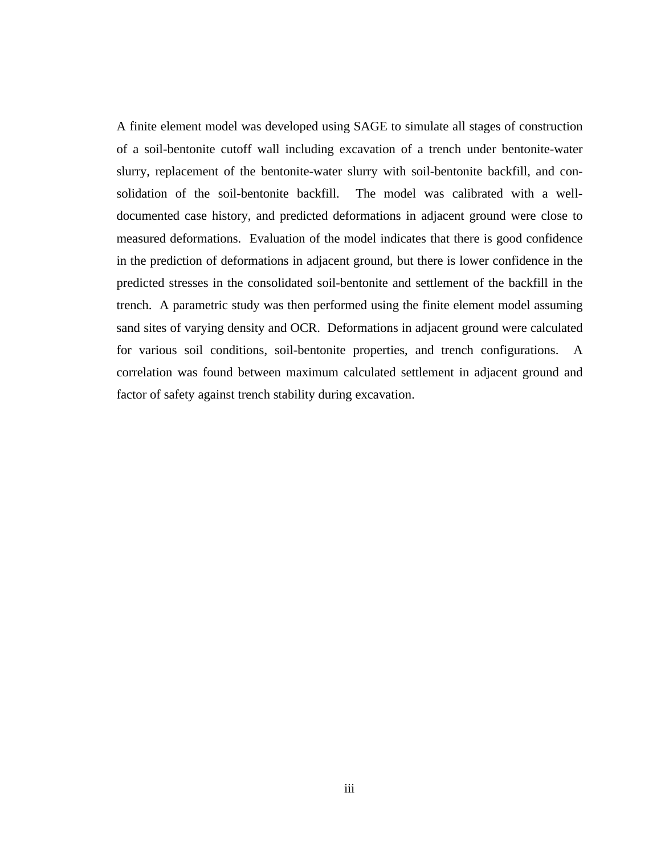A finite element model was developed using SAGE to simulate all stages of construction of a soil-bentonite cutoff wall including excavation of a trench under bentonite-water slurry, replacement of the bentonite-water slurry with soil-bentonite backfill, and consolidation of the soil-bentonite backfill. The model was calibrated with a welldocumented case history, and predicted deformations in adjacent ground were close to measured deformations. Evaluation of the model indicates that there is good confidence in the prediction of deformations in adjacent ground, but there is lower confidence in the predicted stresses in the consolidated soil-bentonite and settlement of the backfill in the trench. A parametric study was then performed using the finite element model assuming sand sites of varying density and OCR. Deformations in adjacent ground were calculated for various soil conditions, soil-bentonite properties, and trench configurations. A correlation was found between maximum calculated settlement in adjacent ground and factor of safety against trench stability during excavation.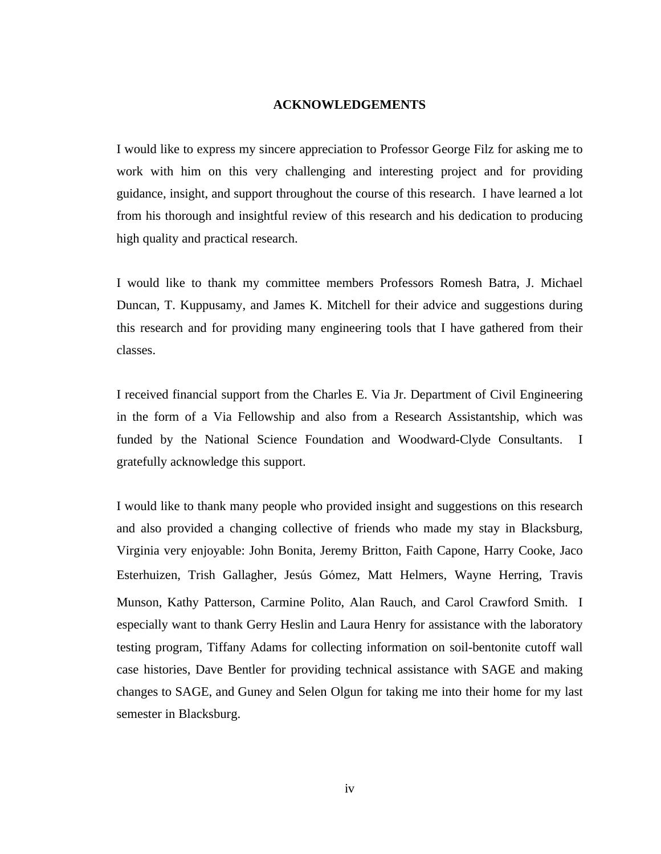#### **ACKNOWLEDGEMENTS**

I would like to express my sincere appreciation to Professor George Filz for asking me to work with him on this very challenging and interesting project and for providing guidance, insight, and support throughout the course of this research. I have learned a lot from his thorough and insightful review of this research and his dedication to producing high quality and practical research.

I would like to thank my committee members Professors Romesh Batra, J. Michael Duncan, T. Kuppusamy, and James K. Mitchell for their advice and suggestions during this research and for providing many engineering tools that I have gathered from their classes.

I received financial support from the Charles E. Via Jr. Department of Civil Engineering in the form of a Via Fellowship and also from a Research Assistantship, which was funded by the National Science Foundation and Woodward-Clyde Consultants. I gratefully acknowledge this support.

I would like to thank many people who provided insight and suggestions on this research and also provided a changing collective of friends who made my stay in Blacksburg, Virginia very enjoyable: John Bonita, Jeremy Britton, Faith Capone, Harry Cooke, Jaco Esterhuizen, Trish Gallagher, Jesús Gómez, Matt Helmers, Wayne Herring, Travis Munson, Kathy Patterson, Carmine Polito, Alan Rauch, and Carol Crawford Smith. I especially want to thank Gerry Heslin and Laura Henry for assistance with the laboratory testing program, Tiffany Adams for collecting information on soil-bentonite cutoff wall case histories, Dave Bentler for providing technical assistance with SAGE and making changes to SAGE, and Guney and Selen Olgun for taking me into their home for my last semester in Blacksburg.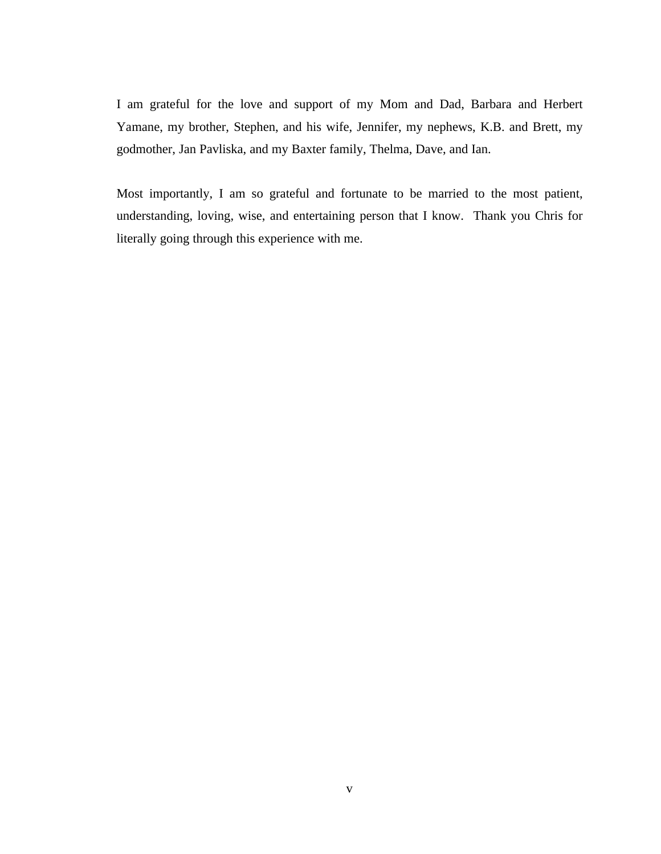I am grateful for the love and support of my Mom and Dad, Barbara and Herbert Yamane, my brother, Stephen, and his wife, Jennifer, my nephews, K.B. and Brett, my godmother, Jan Pavliska, and my Baxter family, Thelma, Dave, and Ian.

Most importantly, I am so grateful and fortunate to be married to the most patient, understanding, loving, wise, and entertaining person that I know. Thank you Chris for literally going through this experience with me.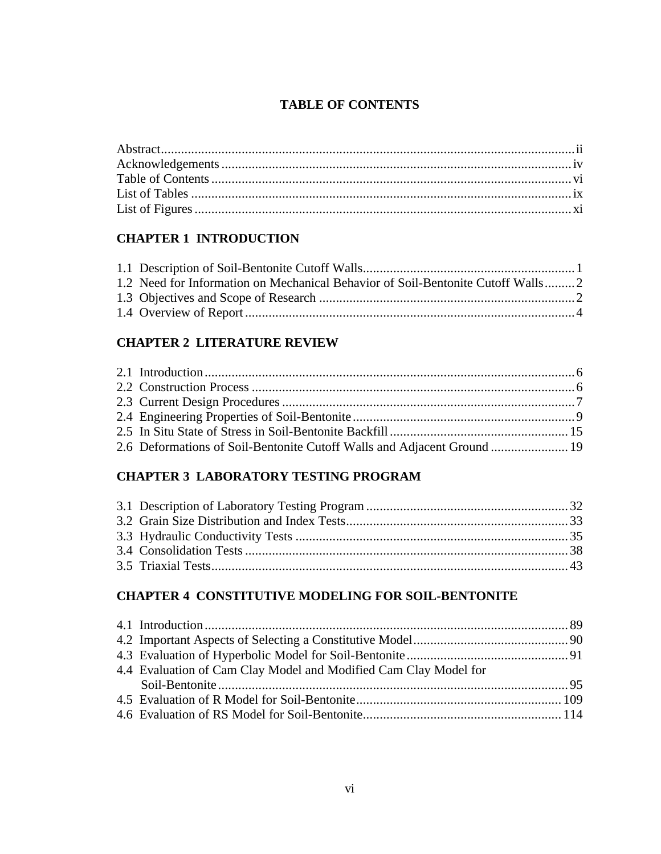# **TABLE OF CONTENTS**

# **[CHAPTER 1 INTRODUCTION](#page-0-0)**

| 1.2 Need for Information on Mechanical Behavior of Soil-Bentonite Cutoff Walls2 |  |
|---------------------------------------------------------------------------------|--|
|                                                                                 |  |
|                                                                                 |  |

### **[CHAPTER 2 LITERATURE REVIEW](#page-0-0)**

| 2.6 Deformations of Soil-Bentonite Cutoff Walls and Adjacent Ground  19 |  |
|-------------------------------------------------------------------------|--|

## **[CHAPTER 3 LABORATORY TESTING PROGRAM](#page-0-1)**

# **[CHAPTER 4 CONSTITUTIVE MODELING FOR SOIL-BENTONITE](#page-0-0)**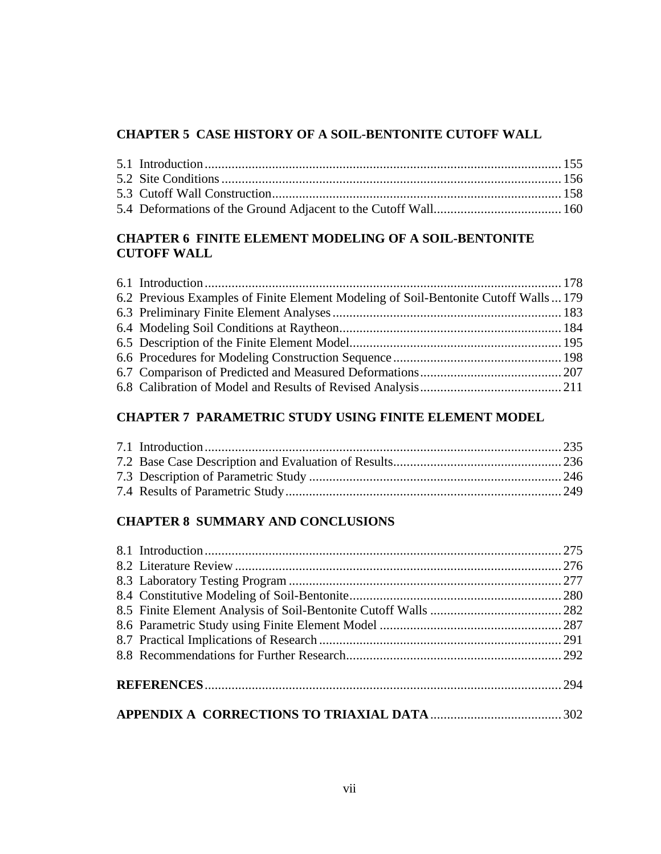### **[CHAPTER 5 CASE HISTORY OF A SOIL-BENTONITE CUTOFF WALL](#page-0-2)**

### **[CHAPTER 6 FINITE ELEMENT MODELING OF A SOIL-BENTONITE](#page-0-3) CUTOFF WALL**

| 6.2 Previous Examples of Finite Element Modeling of Soil-Bentonite Cutoff Walls  179 |  |
|--------------------------------------------------------------------------------------|--|
|                                                                                      |  |
|                                                                                      |  |
|                                                                                      |  |
|                                                                                      |  |
|                                                                                      |  |
|                                                                                      |  |
|                                                                                      |  |

## **[CHAPTER 7 PARAMETRIC STUDY USING FINITE ELEMENT MODEL](#page-0-3)**

## **[CHAPTER 8 SUMMARY AND CONCLUSIONS](#page-0-3)**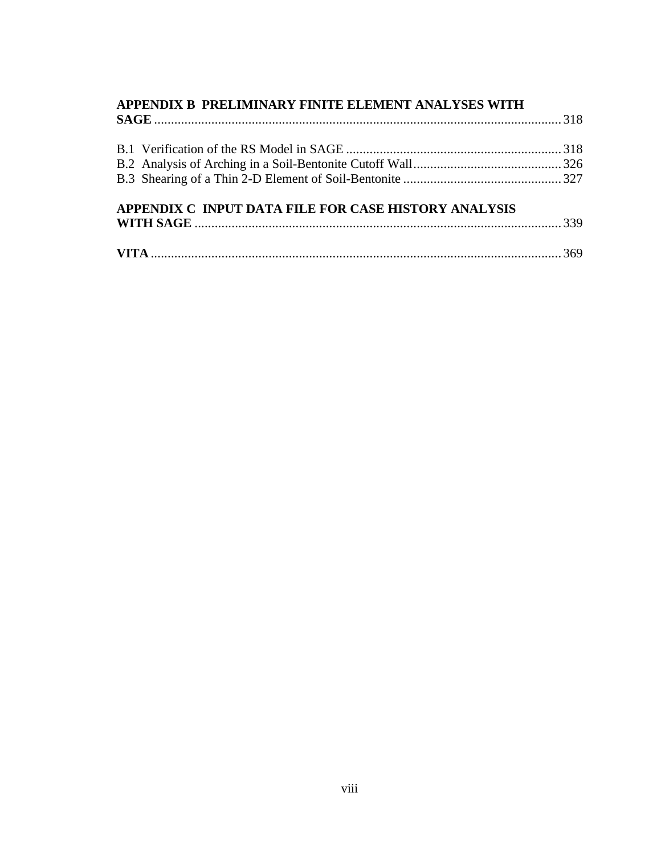| APPENDIX B PRELIMINARY FINITE ELEMENT ANALYSES WITH  |  |
|------------------------------------------------------|--|
|                                                      |  |
|                                                      |  |
|                                                      |  |
|                                                      |  |
| APPENDIX C INPUT DATA FILE FOR CASE HISTORY ANALYSIS |  |
|                                                      |  |
|                                                      |  |
|                                                      |  |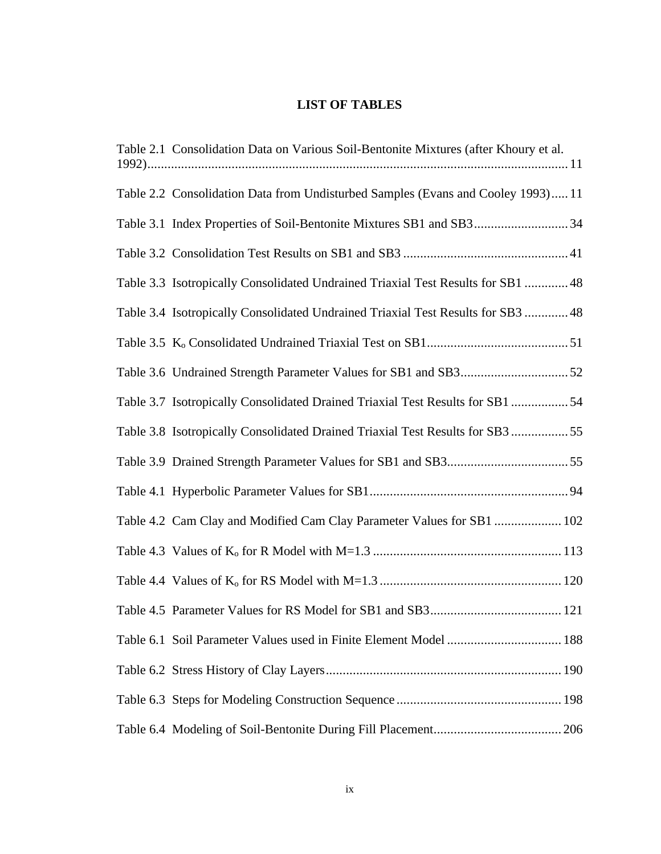# **LIST OF TABLES**

| Table 2.1 Consolidation Data on Various Soil-Bentonite Mixtures (after Khoury et al. |
|--------------------------------------------------------------------------------------|
| Table 2.2 Consolidation Data from Undisturbed Samples (Evans and Cooley 1993) 11     |
| Table 3.1 Index Properties of Soil-Bentonite Mixtures SB1 and SB334                  |
|                                                                                      |
| Table 3.3 Isotropically Consolidated Undrained Triaxial Test Results for SB1  48     |
| Table 3.4 Isotropically Consolidated Undrained Triaxial Test Results for SB3  48     |
|                                                                                      |
|                                                                                      |
| Table 3.7 Isotropically Consolidated Drained Triaxial Test Results for SB1 54        |
| Table 3.8 Isotropically Consolidated Drained Triaxial Test Results for SB3 55        |
|                                                                                      |
|                                                                                      |
| Table 4.2 Cam Clay and Modified Cam Clay Parameter Values for SB1  102               |
|                                                                                      |
|                                                                                      |
|                                                                                      |
| Table 6.1 Soil Parameter Values used in Finite Element Model  188                    |
|                                                                                      |
|                                                                                      |
|                                                                                      |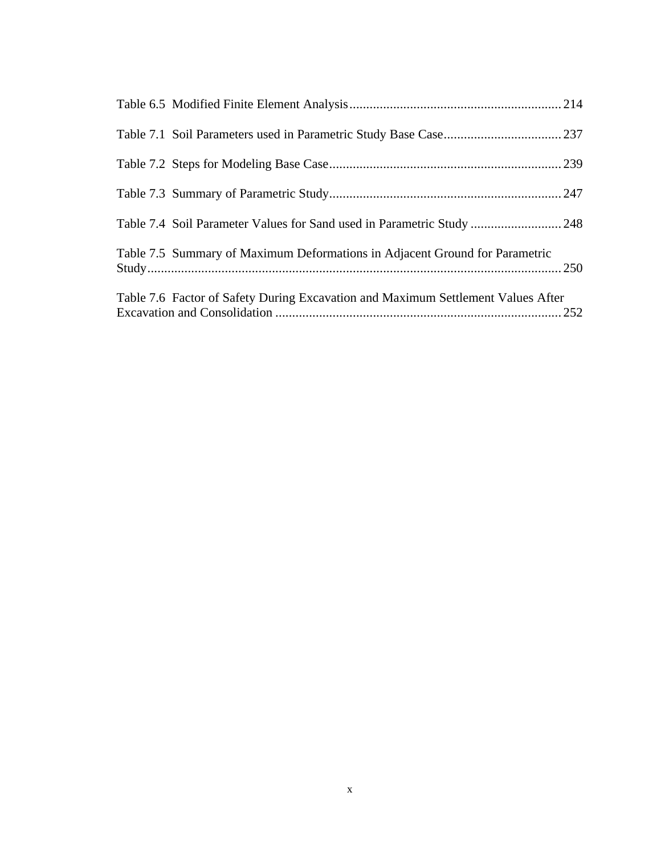| Table 7.4 Soil Parameter Values for Sand used in Parametric Study  248           |  |
|----------------------------------------------------------------------------------|--|
| Table 7.5 Summary of Maximum Deformations in Adjacent Ground for Parametric      |  |
| Table 7.6 Factor of Safety During Excavation and Maximum Settlement Values After |  |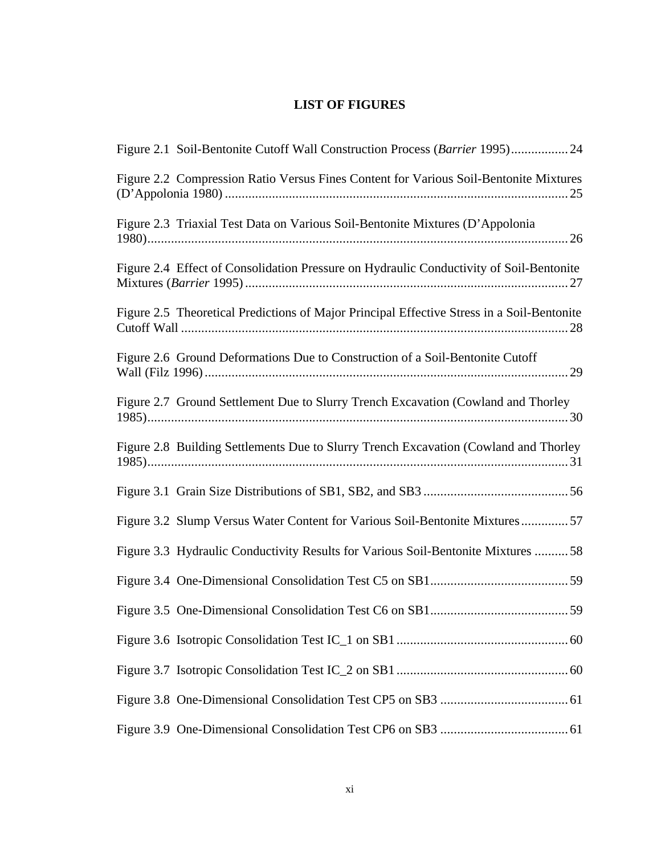# **LIST OF FIGURES**

| Figure 2.1 Soil-Bentonite Cutoff Wall Construction Process (Barrier 1995) 24               |
|--------------------------------------------------------------------------------------------|
| Figure 2.2 Compression Ratio Versus Fines Content for Various Soil-Bentonite Mixtures      |
| Figure 2.3 Triaxial Test Data on Various Soil-Bentonite Mixtures (D'Appolonia              |
| Figure 2.4 Effect of Consolidation Pressure on Hydraulic Conductivity of Soil-Bentonite    |
| Figure 2.5 Theoretical Predictions of Major Principal Effective Stress in a Soil-Bentonite |
| Figure 2.6 Ground Deformations Due to Construction of a Soil-Bentonite Cutoff              |
| Figure 2.7 Ground Settlement Due to Slurry Trench Excavation (Cowland and Thorley          |
| Figure 2.8 Building Settlements Due to Slurry Trench Excavation (Cowland and Thorley       |
|                                                                                            |
| Figure 3.2 Slump Versus Water Content for Various Soil-Bentonite Mixtures57                |
| Figure 3.3 Hydraulic Conductivity Results for Various Soil-Bentonite Mixtures 58           |
|                                                                                            |
|                                                                                            |
|                                                                                            |
|                                                                                            |
|                                                                                            |
|                                                                                            |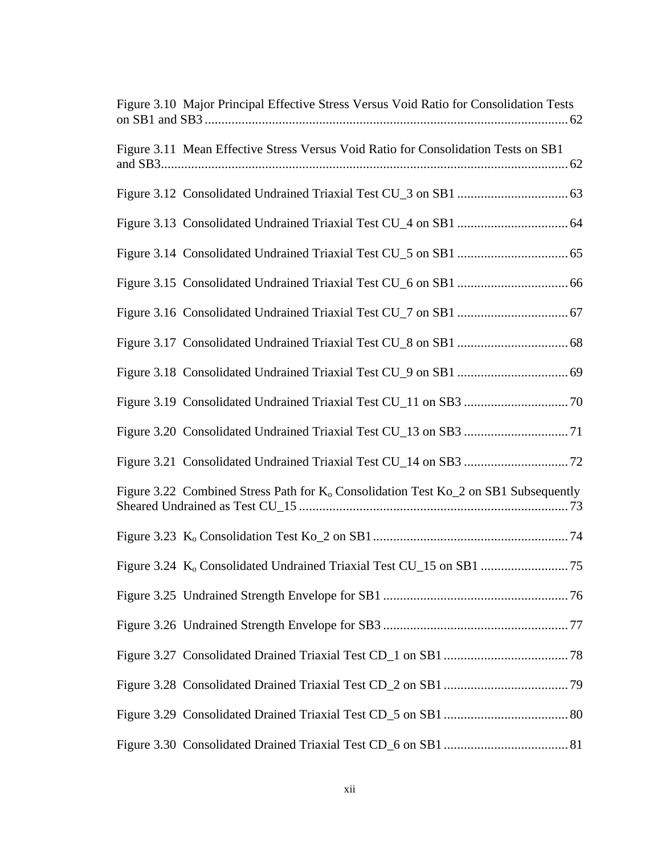| Figure 3.10 Major Principal Effective Stress Versus Void Ratio for Consolidation Tests          |
|-------------------------------------------------------------------------------------------------|
| Figure 3.11 Mean Effective Stress Versus Void Ratio for Consolidation Tests on SB1              |
|                                                                                                 |
|                                                                                                 |
|                                                                                                 |
|                                                                                                 |
|                                                                                                 |
|                                                                                                 |
|                                                                                                 |
|                                                                                                 |
|                                                                                                 |
|                                                                                                 |
| Figure 3.22 Combined Stress Path for K <sub>o</sub> Consolidation Test Ko_2 on SB1 Subsequently |
|                                                                                                 |
|                                                                                                 |
|                                                                                                 |
|                                                                                                 |
|                                                                                                 |
|                                                                                                 |
|                                                                                                 |
|                                                                                                 |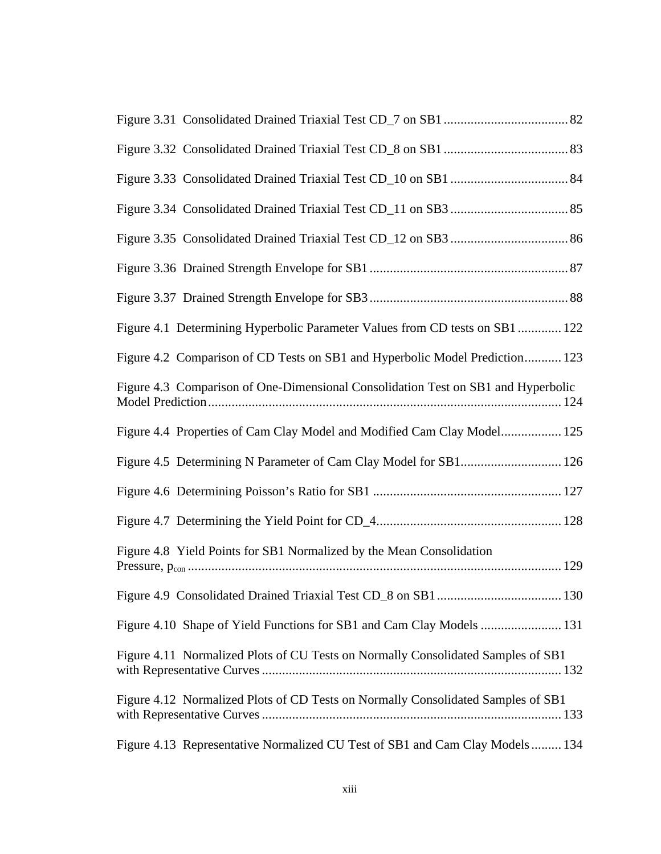| Figure 4.1 Determining Hyperbolic Parameter Values from CD tests on SB1 122       |
|-----------------------------------------------------------------------------------|
| Figure 4.2 Comparison of CD Tests on SB1 and Hyperbolic Model Prediction 123      |
| Figure 4.3 Comparison of One-Dimensional Consolidation Test on SB1 and Hyperbolic |
| Figure 4.4 Properties of Cam Clay Model and Modified Cam Clay Model 125           |
| Figure 4.5 Determining N Parameter of Cam Clay Model for SB1 126                  |
|                                                                                   |
|                                                                                   |
| Figure 4.8 Yield Points for SB1 Normalized by the Mean Consolidation              |
|                                                                                   |
| Figure 4.10 Shape of Yield Functions for SB1 and Cam Clay Models  131             |
| Figure 4.11 Normalized Plots of CU Tests on Normally Consolidated Samples of SB1  |
| Figure 4.12 Normalized Plots of CD Tests on Normally Consolidated Samples of SB1  |
| Figure 4.13 Representative Normalized CU Test of SB1 and Cam Clay Models 134      |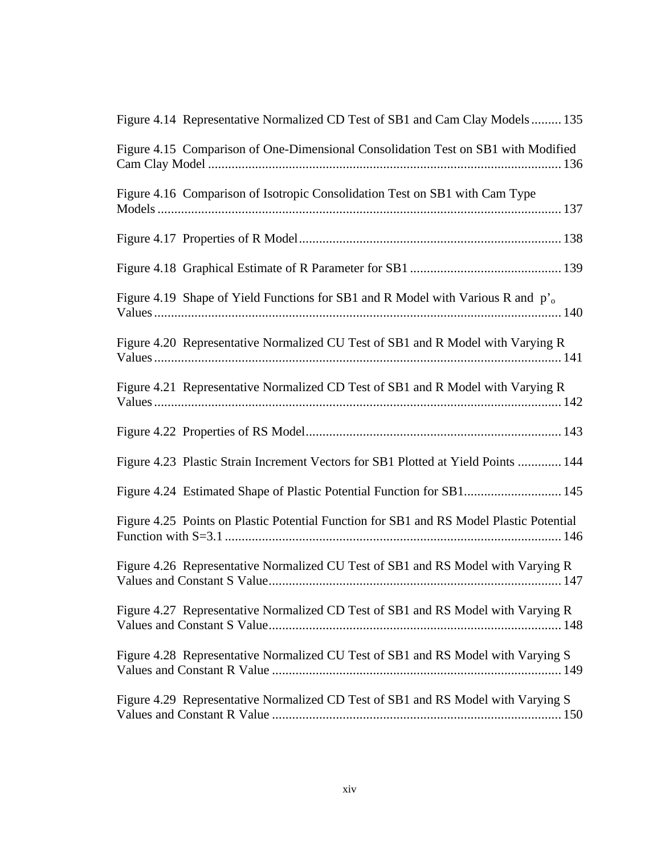| Figure 4.14 Representative Normalized CD Test of SB1 and Cam Clay Models 135                |
|---------------------------------------------------------------------------------------------|
| Figure 4.15 Comparison of One-Dimensional Consolidation Test on SB1 with Modified           |
| Figure 4.16 Comparison of Isotropic Consolidation Test on SB1 with Cam Type                 |
|                                                                                             |
|                                                                                             |
| Figure 4.19 Shape of Yield Functions for SB1 and R Model with Various R and p' <sub>o</sub> |
| Figure 4.20 Representative Normalized CU Test of SB1 and R Model with Varying R             |
| Figure 4.21 Representative Normalized CD Test of SB1 and R Model with Varying R             |
|                                                                                             |
| Figure 4.23 Plastic Strain Increment Vectors for SB1 Plotted at Yield Points  144           |
| Figure 4.24 Estimated Shape of Plastic Potential Function for SB1 145                       |
| Figure 4.25 Points on Plastic Potential Function for SB1 and RS Model Plastic Potential     |
| Figure 4.26 Representative Normalized CU Test of SB1 and RS Model with Varying R            |
| Figure 4.27 Representative Normalized CD Test of SB1 and RS Model with Varying R            |
| Figure 4.28 Representative Normalized CU Test of SB1 and RS Model with Varying S            |
| Figure 4.29 Representative Normalized CD Test of SB1 and RS Model with Varying S            |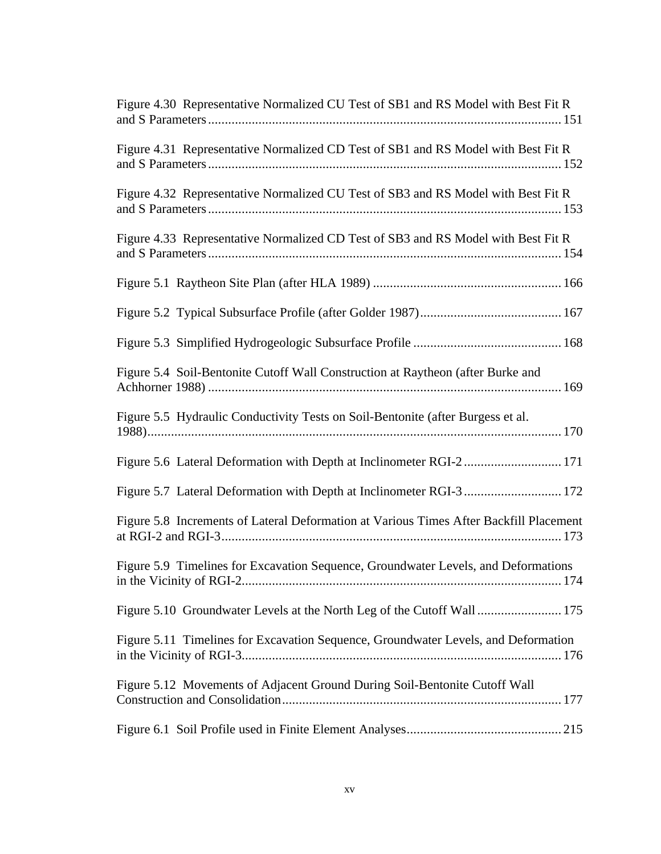| Figure 4.30 Representative Normalized CU Test of SB1 and RS Model with Best Fit R      |
|----------------------------------------------------------------------------------------|
| Figure 4.31 Representative Normalized CD Test of SB1 and RS Model with Best Fit R      |
| Figure 4.32 Representative Normalized CU Test of SB3 and RS Model with Best Fit R      |
| Figure 4.33 Representative Normalized CD Test of SB3 and RS Model with Best Fit R      |
|                                                                                        |
|                                                                                        |
|                                                                                        |
| Figure 5.4 Soil-Bentonite Cutoff Wall Construction at Raytheon (after Burke and        |
| Figure 5.5 Hydraulic Conductivity Tests on Soil-Bentonite (after Burgess et al.        |
| Figure 5.6 Lateral Deformation with Depth at Inclinometer RGI-2 171                    |
| Figure 5.7 Lateral Deformation with Depth at Inclinometer RGI-3  172                   |
| Figure 5.8 Increments of Lateral Deformation at Various Times After Backfill Placement |
| Figure 5.9 Timelines for Excavation Sequence, Groundwater Levels, and Deformations     |
| Figure 5.10 Groundwater Levels at the North Leg of the Cutoff Wall  175                |
| Figure 5.11 Timelines for Excavation Sequence, Groundwater Levels, and Deformation     |
| Figure 5.12 Movements of Adjacent Ground During Soil-Bentonite Cutoff Wall             |
|                                                                                        |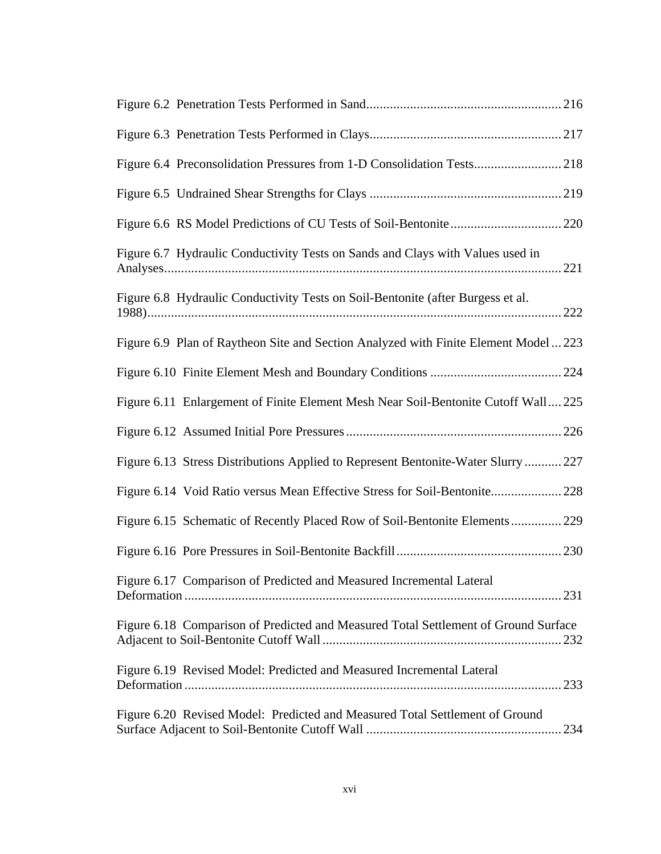| Figure 6.7 Hydraulic Conductivity Tests on Sands and Clays with Values used in       |  |
|--------------------------------------------------------------------------------------|--|
| Figure 6.8 Hydraulic Conductivity Tests on Soil-Bentonite (after Burgess et al.      |  |
| Figure 6.9 Plan of Raytheon Site and Section Analyzed with Finite Element Model  223 |  |
|                                                                                      |  |
| Figure 6.11 Enlargement of Finite Element Mesh Near Soil-Bentonite Cutoff Wall 225   |  |
|                                                                                      |  |
| Figure 6.13 Stress Distributions Applied to Represent Bentonite-Water Slurry  227    |  |
| Figure 6.14 Void Ratio versus Mean Effective Stress for Soil-Bentonite 228           |  |
| Figure 6.15 Schematic of Recently Placed Row of Soil-Bentonite Elements 229          |  |
|                                                                                      |  |
| Figure 6.17 Comparison of Predicted and Measured Incremental Lateral                 |  |
| Figure 6.18 Comparison of Predicted and Measured Total Settlement of Ground Surface  |  |
| Figure 6.19 Revised Model: Predicted and Measured Incremental Lateral                |  |
| Figure 6.20 Revised Model: Predicted and Measured Total Settlement of Ground         |  |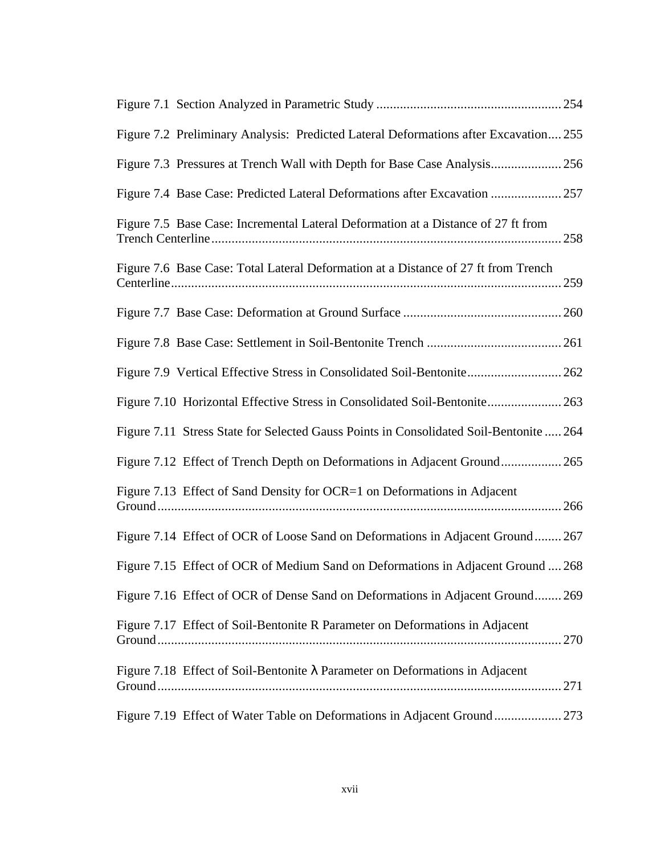| Figure 7.2 Preliminary Analysis: Predicted Lateral Deformations after Excavation 255   |
|----------------------------------------------------------------------------------------|
|                                                                                        |
| Figure 7.4 Base Case: Predicted Lateral Deformations after Excavation  257             |
| Figure 7.5 Base Case: Incremental Lateral Deformation at a Distance of 27 ft from      |
| Figure 7.6 Base Case: Total Lateral Deformation at a Distance of 27 ft from Trench     |
|                                                                                        |
|                                                                                        |
| Figure 7.9 Vertical Effective Stress in Consolidated Soil-Bentonite 262                |
| Figure 7.10 Horizontal Effective Stress in Consolidated Soil-Bentonite 263             |
| Figure 7.11 Stress State for Selected Gauss Points in Consolidated Soil-Bentonite  264 |
| Figure 7.12 Effect of Trench Depth on Deformations in Adjacent Ground 265              |
| Figure 7.13 Effect of Sand Density for OCR=1 on Deformations in Adjacent               |
| Figure 7.14 Effect of OCR of Loose Sand on Deformations in Adjacent Ground 267         |
| Figure 7.15 Effect of OCR of Medium Sand on Deformations in Adjacent Ground  268       |
| Figure 7.16 Effect of OCR of Dense Sand on Deformations in Adjacent Ground 269         |
| Figure 7.17 Effect of Soil-Bentonite R Parameter on Deformations in Adjacent           |
| Figure 7.18 Effect of Soil-Bentonite $\lambda$ Parameter on Deformations in Adjacent   |
| Figure 7.19 Effect of Water Table on Deformations in Adjacent Ground 273               |